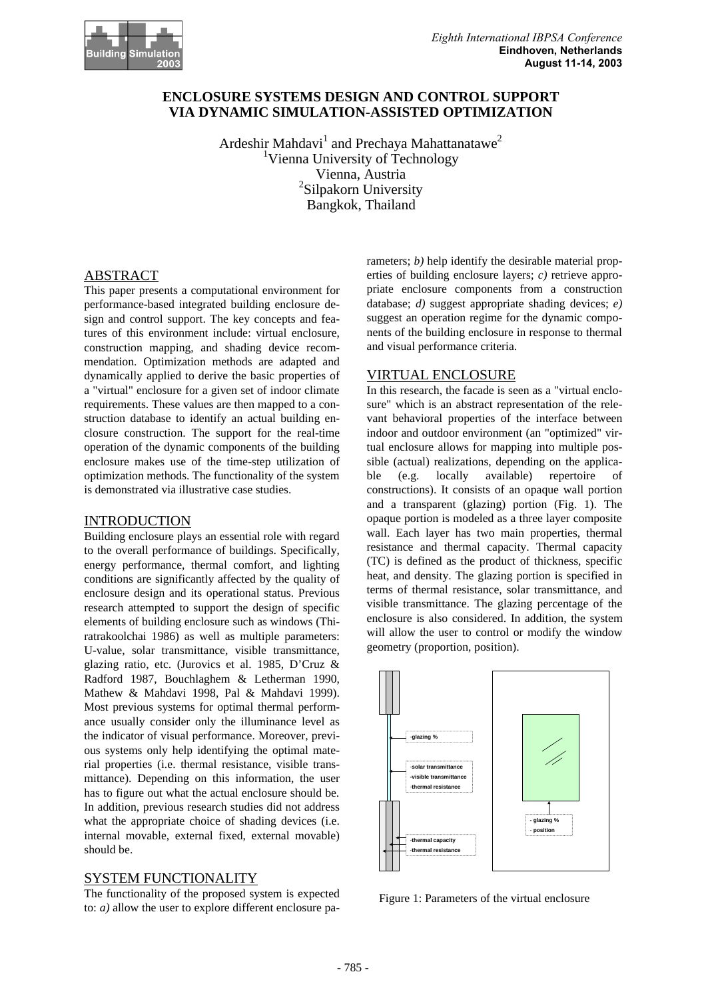

# **ENCLOSURE SYSTEMS DESIGN AND CONTROL SUPPORT VIA DYNAMIC SIMULATION-ASSISTED OPTIMIZATION**

Ardeshir Mahdavi<sup>1</sup> and Prechaya Mahattanatawe<sup>2</sup> <sup>1</sup>Vienna University of Technology Vienna, Austria <sup>2</sup>Silpakorn University Bangkok, Thailand

# ABSTRACT

This paper presents a computational environment for performance-based integrated building enclosure design and control support. The key concepts and features of this environment include: virtual enclosure, construction mapping, and shading device recommendation. Optimization methods are adapted and dynamically applied to derive the basic properties of a "virtual" enclosure for a given set of indoor climate requirements. These values are then mapped to a construction database to identify an actual building enclosure construction. The support for the real-time operation of the dynamic components of the building enclosure makes use of the time-step utilization of optimization methods. The functionality of the system is demonstrated via illustrative case studies.

# INTRODUCTION

Building enclosure plays an essential role with regard to the overall performance of buildings. Specifically, energy performance, thermal comfort, and lighting conditions are significantly affected by the quality of enclosure design and its operational status. Previous research attempted to support the design of specific elements of building enclosure such as windows (Thiratrakoolchai 1986) as well as multiple parameters: U-value, solar transmittance, visible transmittance, glazing ratio, etc. (Jurovics et al. 1985, D'Cruz & Radford 1987, Bouchlaghem & Letherman 1990, Mathew & Mahdavi 1998, Pal & Mahdavi 1999). Most previous systems for optimal thermal performance usually consider only the illuminance level as the indicator of visual performance. Moreover, previous systems only help identifying the optimal material properties (i.e. thermal resistance, visible transmittance). Depending on this information, the user has to figure out what the actual enclosure should be. In addition, previous research studies did not address what the appropriate choice of shading devices (i.e. internal movable, external fixed, external movable) should be.

# SYSTEM FUNCTIONALITY

The functionality of the proposed system is expected to: *a)* allow the user to explore different enclosure parameters; *b*) help identify the desirable material properties of building enclosure layers; *c)* retrieve appropriate enclosure components from a construction database; *d)* suggest appropriate shading devices; *e)* suggest an operation regime for the dynamic components of the building enclosure in response to thermal and visual performance criteria.

# VIRTUAL ENCLOSURE

In this research, the facade is seen as a "virtual enclosure" which is an abstract representation of the relevant behavioral properties of the interface between indoor and outdoor environment (an "optimized" virtual enclosure allows for mapping into multiple possible (actual) realizations, depending on the applicable (e.g. locally available) repertoire of constructions). It consists of an opaque wall portion and a transparent (glazing) portion (Fig. 1). The opaque portion is modeled as a three layer composite wall. Each layer has two main properties, thermal resistance and thermal capacity. Thermal capacity (TC) is defined as the product of thickness, specific heat, and density. The glazing portion is specified in terms of thermal resistance, solar transmittance, and visible transmittance. The glazing percentage of the enclosure is also considered. In addition, the system will allow the user to control or modify the window geometry (proportion, position).



Figure 1: Parameters of the virtual enclosure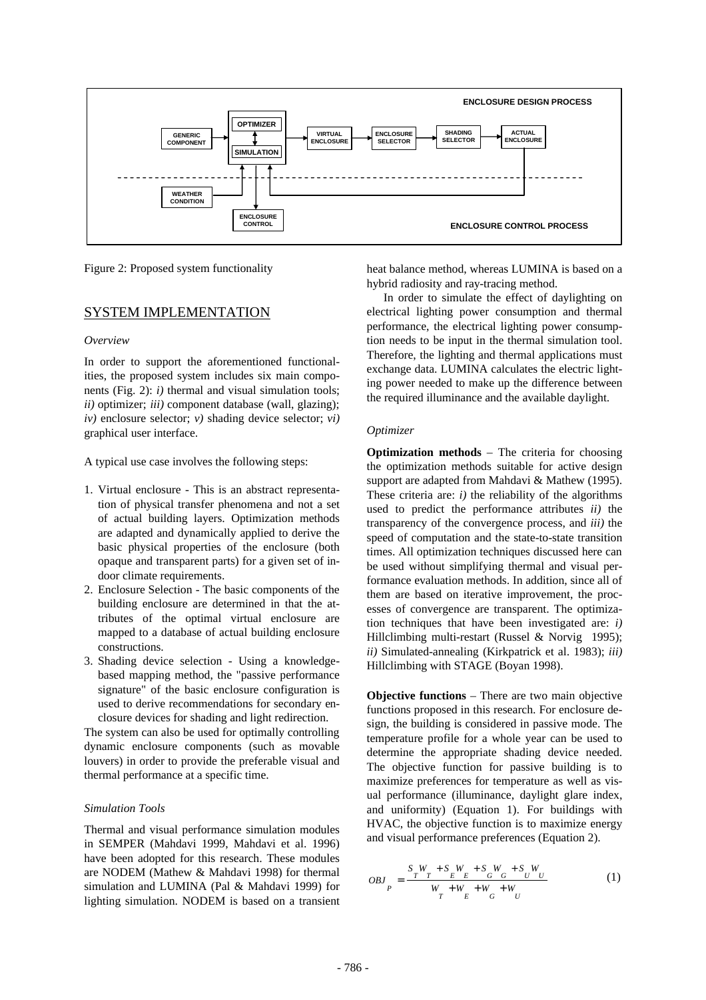

Figure 2: Proposed system functionality

## SYSTEM IMPLEMENTATION

#### *Overview*

In order to support the aforementioned functionalities, the proposed system includes six main components (Fig. 2): *i)* thermal and visual simulation tools; *ii)* optimizer; *iii)* component database (wall, glazing); *iv)* enclosure selector; *v)* shading device selector; *vi)* graphical user interface.

A typical use case involves the following steps:

- 1. Virtual enclosure This is an abstract representation of physical transfer phenomena and not a set of actual building layers. Optimization methods are adapted and dynamically applied to derive the basic physical properties of the enclosure (both opaque and transparent parts) for a given set of indoor climate requirements.
- 2. Enclosure Selection The basic components of the building enclosure are determined in that the attributes of the optimal virtual enclosure are mapped to a database of actual building enclosure constructions.
- 3. Shading device selection Using a knowledgebased mapping method, the "passive performance signature" of the basic enclosure configuration is used to derive recommendations for secondary enclosure devices for shading and light redirection.

The system can also be used for optimally controlling dynamic enclosure components (such as movable louvers) in order to provide the preferable visual and thermal performance at a specific time.

#### *Simulation Tools*

Thermal and visual performance simulation modules in SEMPER (Mahdavi 1999, Mahdavi et al. 1996) have been adopted for this research. These modules are NODEM (Mathew & Mahdavi 1998) for thermal simulation and LUMINA (Pal & Mahdavi 1999) for lighting simulation. NODEM is based on a transient heat balance method, whereas LUMINA is based on a hybrid radiosity and ray-tracing method.

In order to simulate the effect of daylighting on electrical lighting power consumption and thermal performance, the electrical lighting power consumption needs to be input in the thermal simulation tool. Therefore, the lighting and thermal applications must exchange data. LUMINA calculates the electric lighting power needed to make up the difference between the required illuminance and the available daylight.

#### *Optimizer*

**Optimization methods** – The criteria for choosing the optimization methods suitable for active design support are adapted from Mahdavi & Mathew (1995). These criteria are: *i)* the reliability of the algorithms used to predict the performance attributes *ii)* the transparency of the convergence process, and *iii)* the speed of computation and the state-to-state transition times. All optimization techniques discussed here can be used without simplifying thermal and visual performance evaluation methods. In addition, since all of them are based on iterative improvement, the processes of convergence are transparent. The optimization techniques that have been investigated are: *i)* Hillclimbing multi-restart (Russel & Norvig 1995); *ii)* Simulated-annealing (Kirkpatrick et al. 1983); *iii)* Hillclimbing with STAGE (Boyan 1998).

**Objective functions** – There are two main objective functions proposed in this research. For enclosure design, the building is considered in passive mode. The temperature profile for a whole year can be used to determine the appropriate shading device needed. The objective function for passive building is to maximize preferences for temperature as well as visual performance (illuminance, daylight glare index, and uniformity) (Equation 1). For buildings with HVAC, the objective function is to maximize energy and visual performance preferences (Equation 2).

$$
OBJ_{P} = \frac{S_{T}W_{T} + S_{E}W_{E} + S_{G}W_{G} + S_{U}W_{U}}{W_{T} + W_{E} + W_{G} + W_{U}}
$$
(1)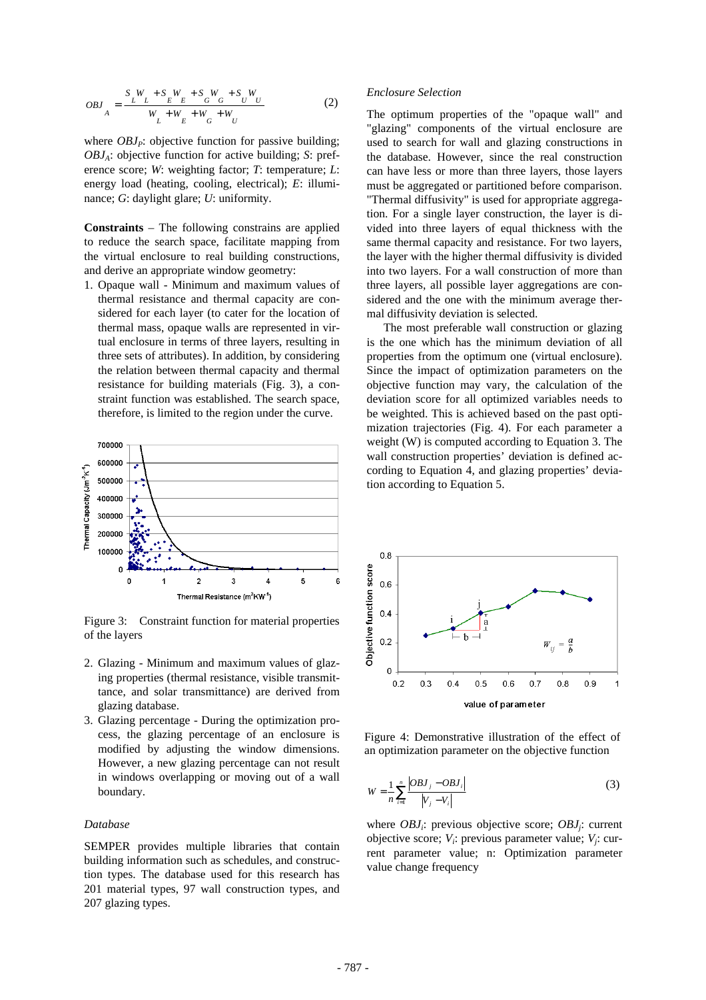$$
OBJ_{A} = \frac{S_{L}W_{L} + S_{L}W_{E} + S_{G}W_{G} + S_{U}W_{U}}{W_{L} + W_{E} + W_{G} + W_{U}}
$$
(2)

where  $OBJ<sub>P</sub>$ : objective function for passive building; *OBJA*: objective function for active building; *S*: preference score; *W*: weighting factor; *T*: temperature; *L*: energy load (heating, cooling, electrical); *E*: illuminance; *G*: daylight glare; *U*: uniformity.

**Constraints** – The following constrains are applied to reduce the search space, facilitate mapping from the virtual enclosure to real building constructions, and derive an appropriate window geometry:

1. Opaque wall - Minimum and maximum values of thermal resistance and thermal capacity are considered for each layer (to cater for the location of thermal mass, opaque walls are represented in virtual enclosure in terms of three layers, resulting in three sets of attributes). In addition, by considering the relation between thermal capacity and thermal resistance for building materials (Fig. 3), a constraint function was established. The search space, therefore, is limited to the region under the curve.



Figure 3: Constraint function for material properties of the layers

- 2. Glazing Minimum and maximum values of glazing properties (thermal resistance, visible transmittance, and solar transmittance) are derived from glazing database.
- 3. Glazing percentage During the optimization process, the glazing percentage of an enclosure is modified by adjusting the window dimensions. However, a new glazing percentage can not result in windows overlapping or moving out of a wall boundary.

### *Database*

SEMPER provides multiple libraries that contain building information such as schedules, and construction types. The database used for this research has 201 material types, 97 wall construction types, and 207 glazing types.

#### *Enclosure Selection*

The optimum properties of the "opaque wall" and "glazing" components of the virtual enclosure are used to search for wall and glazing constructions in the database. However, since the real construction can have less or more than three layers, those layers must be aggregated or partitioned before comparison. "Thermal diffusivity" is used for appropriate aggregation. For a single layer construction, the layer is divided into three layers of equal thickness with the same thermal capacity and resistance. For two layers, the layer with the higher thermal diffusivity is divided into two layers. For a wall construction of more than three layers, all possible layer aggregations are considered and the one with the minimum average thermal diffusivity deviation is selected.

The most preferable wall construction or glazing is the one which has the minimum deviation of all properties from the optimum one (virtual enclosure). Since the impact of optimization parameters on the objective function may vary, the calculation of the deviation score for all optimized variables needs to be weighted. This is achieved based on the past optimization trajectories (Fig. 4). For each parameter a weight (W) is computed according to Equation 3. The wall construction properties' deviation is defined according to Equation 4, and glazing properties' deviation according to Equation 5.



Figure 4: Demonstrative illustration of the effect of an optimization parameter on the objective function

$$
W = \frac{1}{n} \sum_{i=1}^{n} \frac{|OBJ_j - OBJ_i|}{|V_j - V_i|}
$$
(3)

where *OBJ<sup>i</sup>* : previous objective score; *OBJ<sup>j</sup>* : current objective score; *V<sup>i</sup>* : previous parameter value; *V<sup>j</sup>* : current parameter value; n: Optimization parameter value change frequency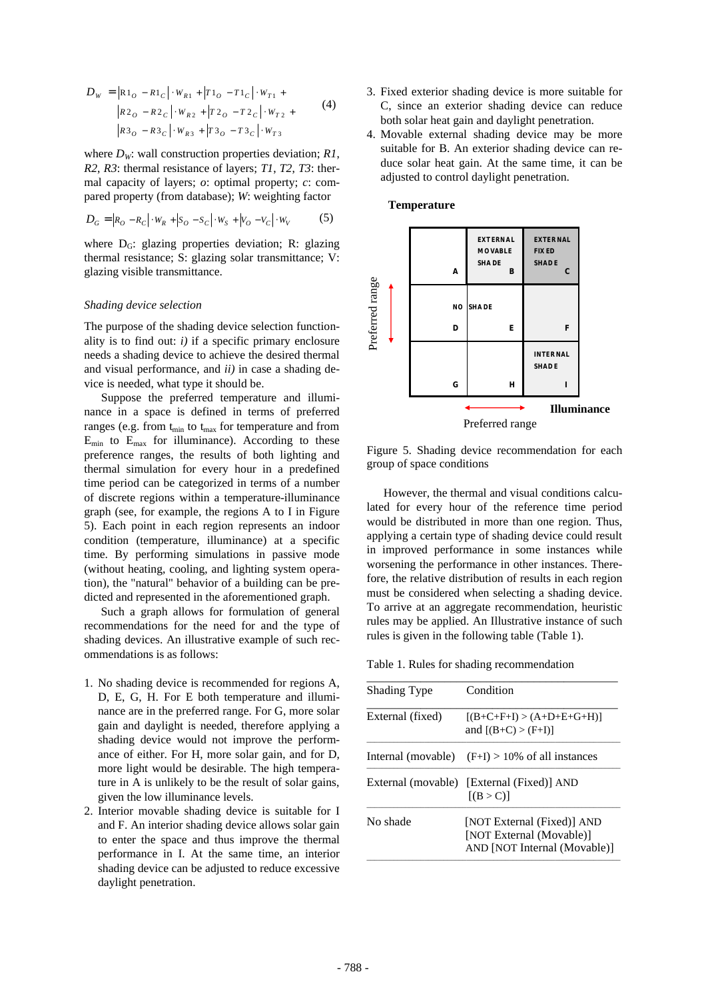$$
D_{W} = |\mathbf{R}1_{O} - R1_{C}| \cdot W_{R1} + |T1_{O} - T1_{C}| \cdot W_{T1} +
$$
  
\n
$$
|R2_{O} - R2_{C}| \cdot W_{R2} + |T2_{O} - T2_{C}| \cdot W_{T2} +
$$
  
\n
$$
|R3_{O} - R3_{C}| \cdot W_{R3} + |T3_{O} - T3_{C}| \cdot W_{T3}
$$
\n(4)

where  $D_W$ : wall construction properties deviation;  $R1$ , *R2*, *R3*: thermal resistance of layers; *T1*, *T2*, *T3*: thermal capacity of layers; *o*: optimal property; *c*: compared property (from database); *W*: weighting factor

$$
D_G = |R_O - R_C| \cdot W_R + |S_O - S_C| \cdot W_S + |V_O - V_C| \cdot W_V
$$
 (5)

where  $D_G$ : glazing properties deviation; R: glazing thermal resistance; S: glazing solar transmittance; V: glazing visible transmittance.

#### *Shading device selection*

The purpose of the shading device selection functionality is to find out:  $i$ ) if a specific primary enclosure needs a shading device to achieve the desired thermal and visual performance, and *ii)* in case a shading device is needed, what type it should be.

Suppose the preferred temperature and illuminance in a space is defined in terms of preferred ranges (e.g. from  $t_{min}$  to  $t_{max}$  for temperature and from  $E_{min}$  to  $E_{max}$  for illuminance). According to these preference ranges, the results of both lighting and thermal simulation for every hour in a predefined time period can be categorized in terms of a number of discrete regions within a temperature-illuminance graph (see, for example, the regions A to I in Figure 5). Each point in each region represents an indoor condition (temperature, illuminance) at a specific time. By performing simulations in passive mode (without heating, cooling, and lighting system operation), the "natural" behavior of a building can be predicted and represented in the aforementioned graph.

Such a graph allows for formulation of general recommendations for the need for and the type of shading devices. An illustrative example of such recommendations is as follows:

- 1. No shading device is recommended for regions A, D, E, G, H. For E both temperature and illuminance are in the preferred range. For G, more solar gain and daylight is needed, therefore applying a shading device would not improve the performance of either. For H, more solar gain, and for D, more light would be desirable. The high temperature in A is unlikely to be the result of solar gains, given the low illuminance levels.
- 2. Interior movable shading device is suitable for I and F. An interior shading device allows solar gain to enter the space and thus improve the thermal performance in I. At the same time, an interior shading device can be adjusted to reduce excessive daylight penetration.
- 3. Fixed exterior shading device is more suitable for C, since an exterior shading device can reduce both solar heat gain and daylight penetration.
- 4. Movable external shading device may be more suitable for B. An exterior shading device can reduce solar heat gain. At the same time, it can be adjusted to control daylight penetration.



Figure 5. Shading device recommendation for each group of space conditions

However, the thermal and visual conditions calculated for every hour of the reference time period would be distributed in more than one region. Thus, applying a certain type of shading device could result in improved performance in some instances while worsening the performance in other instances. Therefore, the relative distribution of results in each region must be considered when selecting a shading device. To arrive at an aggregate recommendation, heuristic rules may be applied. An Illustrative instance of such rules is given in the following table (Table 1).

Table 1. Rules for shading recommendation

| <b>Shading Type</b> | Condition                                                                              |
|---------------------|----------------------------------------------------------------------------------------|
| External (fixed)    | $[(B+C+F+I)>(A+D+E+G+H)]$<br>and $[(B+C)>(F+I)]$                                       |
|                     | Internal (movable) $(F+I) > 10\%$ of all instances                                     |
|                     | External (movable) [External (Fixed)] AND<br>[(B > C)]                                 |
| No shade            | [NOT External (Fixed)] AND<br>[NOT External (Movable)]<br>AND [NOT Internal (Movable)] |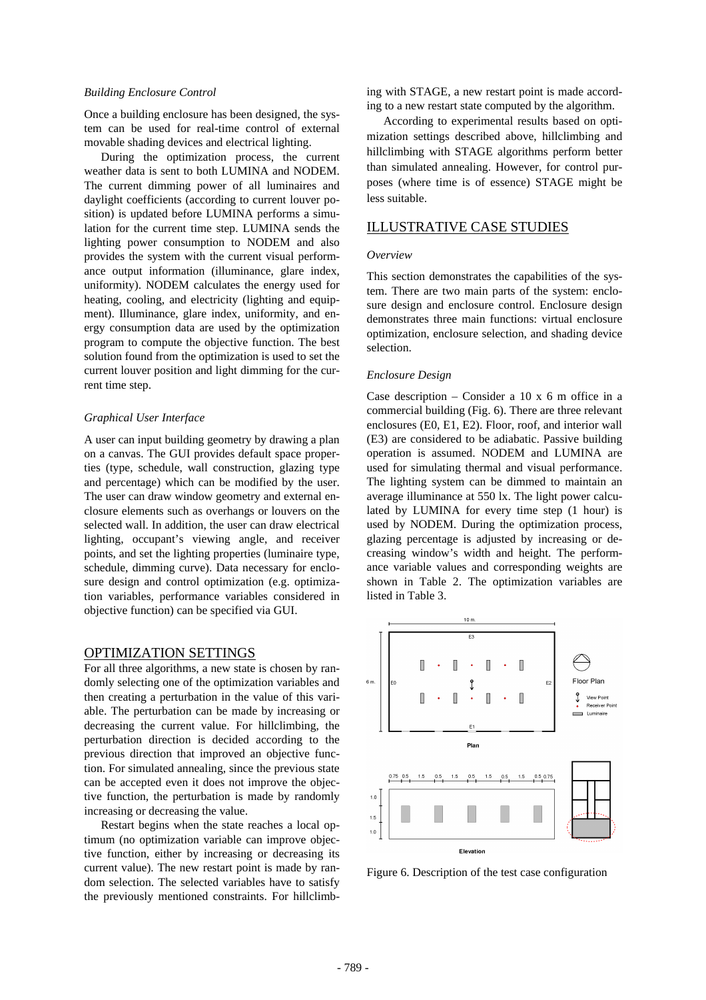#### *Building Enclosure Control*

Once a building enclosure has been designed, the system can be used for real-time control of external movable shading devices and electrical lighting.

During the optimization process, the current weather data is sent to both LUMINA and NODEM. The current dimming power of all luminaires and daylight coefficients (according to current louver position) is updated before LUMINA performs a simulation for the current time step. LUMINA sends the lighting power consumption to NODEM and also provides the system with the current visual performance output information (illuminance, glare index, uniformity). NODEM calculates the energy used for heating, cooling, and electricity (lighting and equipment). Illuminance, glare index, uniformity, and energy consumption data are used by the optimization program to compute the objective function. The best solution found from the optimization is used to set the current louver position and light dimming for the current time step.

#### *Graphical User Interface*

A user can input building geometry by drawing a plan on a canvas. The GUI provides default space properties (type, schedule, wall construction, glazing type and percentage) which can be modified by the user. The user can draw window geometry and external enclosure elements such as overhangs or louvers on the selected wall. In addition, the user can draw electrical lighting, occupant's viewing angle, and receiver points, and set the lighting properties (luminaire type, schedule, dimming curve). Data necessary for enclosure design and control optimization (e.g. optimization variables, performance variables considered in objective function) can be specified via GUI.

### OPTIMIZATION SETTINGS

For all three algorithms, a new state is chosen by randomly selecting one of the optimization variables and then creating a perturbation in the value of this variable. The perturbation can be made by increasing or decreasing the current value. For hillclimbing, the perturbation direction is decided according to the previous direction that improved an objective function. For simulated annealing, since the previous state can be accepted even it does not improve the objective function, the perturbation is made by randomly increasing or decreasing the value.

Restart begins when the state reaches a local optimum (no optimization variable can improve objective function, either by increasing or decreasing its current value). The new restart point is made by random selection. The selected variables have to satisfy the previously mentioned constraints. For hillclimbing with STAGE, a new restart point is made according to a new restart state computed by the algorithm.

According to experimental results based on optimization settings described above, hillclimbing and hillclimbing with STAGE algorithms perform better than simulated annealing. However, for control purposes (where time is of essence) STAGE might be less suitable.

# ILLUSTRATIVE CASE STUDIES

#### *Overview*

This section demonstrates the capabilities of the system. There are two main parts of the system: enclosure design and enclosure control. Enclosure design demonstrates three main functions: virtual enclosure optimization, enclosure selection, and shading device selection.

#### *Enclosure Design*

Case description  $-$  Consider a 10 x 6 m office in a commercial building (Fig. 6). There are three relevant enclosures (E0, E1, E2). Floor, roof, and interior wall (E3) are considered to be adiabatic. Passive building operation is assumed. NODEM and LUMINA are used for simulating thermal and visual performance. The lighting system can be dimmed to maintain an average illuminance at 550 lx. The light power calculated by LUMINA for every time step (1 hour) is used by NODEM. During the optimization process, glazing percentage is adjusted by increasing or decreasing window's width and height. The performance variable values and corresponding weights are shown in Table 2. The optimization variables are listed in Table 3.



Figure 6. Description of the test case configuration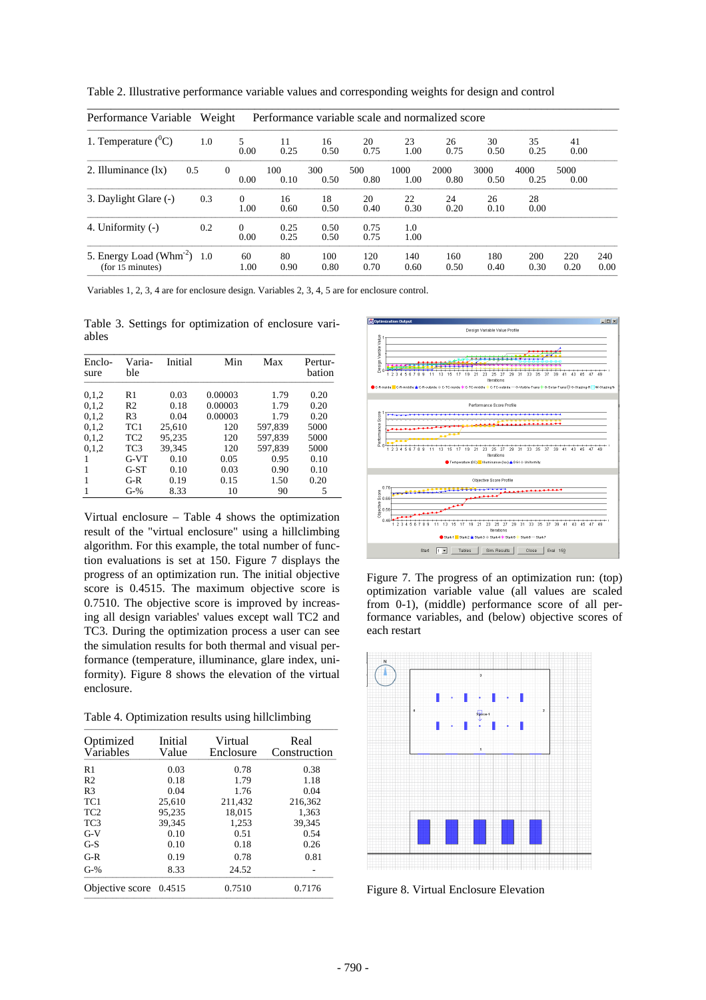| Weight<br>Performance variable scale and normalized score<br>Performance Variable |     |                  |              |              |              |              |              |              |              |              |             |
|-----------------------------------------------------------------------------------|-----|------------------|--------------|--------------|--------------|--------------|--------------|--------------|--------------|--------------|-------------|
| 1. Temperature $(^0C)$                                                            | 1.0 | 5.<br>0.00       | 11<br>0.25   | 16<br>0.50   | 20<br>0.75   | 23<br>1.00   | 26<br>0.75   | 30<br>0.50   | 35<br>0.25   | 41<br>0.00   |             |
| 2. Illuminance $(lx)$                                                             | 0.5 | $\Omega$<br>0.00 | 100<br>0.10  | 300<br>0.50  | 500<br>0.80  | 1000<br>1.00 | 2000<br>0.80 | 3000<br>0.50 | 4000<br>0.25 | 5000<br>0.00 |             |
| 3. Daylight Glare (-)                                                             | 0.3 | $\Omega$<br>1.00 | 16<br>0.60   | 18<br>0.50   | 20<br>0.40   | 22<br>0.30   | 24<br>0.20   | 26<br>0.10   | 28<br>0.00   |              |             |
| 4. Uniformity (-)                                                                 | 0.2 | 0<br>0.00        | 0.25<br>0.25 | 0.50<br>0.50 | 0.75<br>0.75 | 1.0<br>1.00  |              |              |              |              |             |
| 5. Energy Load ( $Whm-2$ ) 1.0<br>(for 15 minutes)                                |     | 60<br>1.00       | 80<br>0.90   | 100<br>0.80  | 120<br>0.70  | 140<br>0.60  | 160<br>0.50  | 180<br>0.40  | 200<br>0.30  | 220<br>0.20  | 240<br>0.00 |

Table 2. Illustrative performance variable values and corresponding weights for design and control

Variables 1, 2, 3, 4 are for enclosure design. Variables 2, 3, 4, 5 are for enclosure control.

Table 3. Settings for optimization of enclosure variables

| Enclo-<br>sure | Varia-<br>ble   | Initial | Min     | Max     | Pertur-<br>bation |
|----------------|-----------------|---------|---------|---------|-------------------|
| 0.1.2          | R1              | 0.03    | 0.00003 | 1.79    | 0.20              |
| 0.1.2          | R <sub>2</sub>  | 0.18    | 0.00003 | 1.79    | 0.20              |
| 0.1.2          | R <sub>3</sub>  | 0.04    | 0.00003 | 1.79    | 0.20              |
| 0.1.2          | TC1             | 25,610  | 120     | 597.839 | 5000              |
| 0.1.2          | TC <sub>2</sub> | 95.235  | 120     | 597,839 | 5000              |
| 0.1.2          | TC <sub>3</sub> | 39.345  | 120     | 597,839 | 5000              |
| 1              | $G-VT$          | 0.10    | 0.05    | 0.95    | 0.10              |
|                | $G-ST$          | 0.10    | 0.03    | 0.90    | 0.10              |
| 1              | $G-R$           | 0.19    | 0.15    | 1.50    | 0.20              |
|                | $G-%$           | 8.33    | 10      | 90      | 5                 |

Virtual enclosure – Table 4 shows the optimization result of the "virtual enclosure" using a hillclimbing algorithm. For this example, the total number of function evaluations is set at 150. Figure 7 displays the progress of an optimization run. The initial objective score is 0.4515. The maximum objective score is 0.7510. The objective score is improved by increasing all design variables' values except wall TC2 and TC3. During the optimization process a user can see the simulation results for both thermal and visual performance (temperature, illuminance, glare index, uniformity). Figure 8 shows the elevation of the virtual enclosure.

Table 4. Optimization results using hillclimbing

| Optimized<br>Variables | Initial<br>Value | Virtual<br>Enclosure | Real<br>Construction |
|------------------------|------------------|----------------------|----------------------|
| R <sub>1</sub>         | 0.03             | 0.78                 | 0.38                 |
| R <sub>2</sub>         | 0.18             | 1.79                 | 1.18                 |
| R <sub>3</sub>         | 0.04             | 1.76                 | 0.04                 |
| TC <sub>1</sub>        | 25,610           | 211,432              | 216,362              |
| TC <sub>2</sub>        | 95.235           | 18.015               | 1,363                |
| TC <sub>3</sub>        | 39,345           | 1,253                | 39,345               |
| $G-V$                  | 0.10             | 0.51                 | 0.54                 |
| $G-S$                  | 0.10             | 0.18                 | 0.26                 |
| $G-R$                  | 0.19             | 0.78                 | 0.81                 |
| $G-%$                  | 8.33             | 24.52                |                      |
| Objective score        | 0.4515           | 0.7510               | 0.7176               |



Figure 7. The progress of an optimization run: (top) optimization variable value (all values are scaled from 0-1), (middle) performance score of all performance variables, and (below) objective scores of each restart



Figure 8. Virtual Enclosure Elevation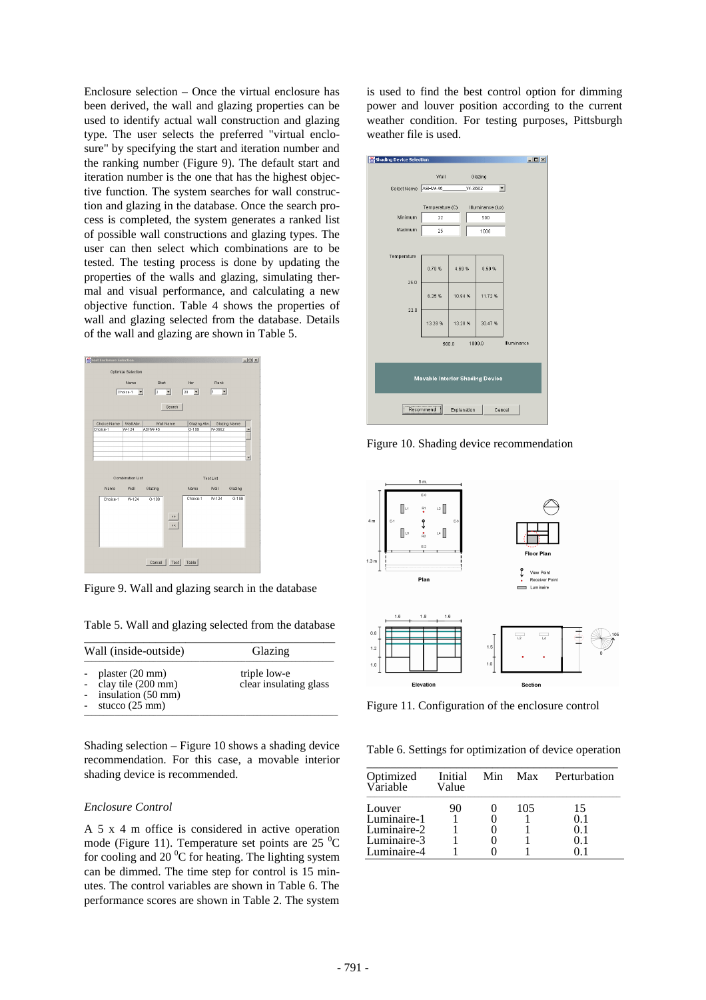Enclosure selection – Once the virtual enclosure has been derived, the wall and glazing properties can be used to identify actual wall construction and glazing type. The user selects the preferred "virtual enclosure" by specifying the start and iteration number and the ranking number (Figure 9). The default start and iteration number is the one that has the highest objective function. The system searches for wall construction and glazing in the database. Once the search process is completed, the system generates a ranked list of possible wall constructions and glazing types. The user can then select which combinations are to be tested. The testing process is done by updating the properties of the walls and glazing, simulating thermal and visual performance, and calculating a new objective function. Table 4 shows the properties of wall and glazing selected from the database. Details of the wall and glazing are shown in Table 5.



Figure 9. Wall and glazing search in the database

Table 5. Wall and glazing selected from the database

| Wall (inside-outside) |                                                                                                   | Glazing                                |  |  |
|-----------------------|---------------------------------------------------------------------------------------------------|----------------------------------------|--|--|
|                       | plaster $(20 \text{ mm})$<br>clay tile (200 mm)<br>insulation (50 mm)<br>stucco $(25 \text{ mm})$ | triple low-e<br>clear insulating glass |  |  |

Shading selection – Figure 10 shows a shading device recommendation. For this case, a movable interior shading device is recommended.

### *Enclosure Control*

A 5 x 4 m office is considered in active operation mode (Figure 11). Temperature set points are  $25\text{ °C}$ for cooling and 20 $\mathrm{^0C}$  for heating. The lighting system can be dimmed. The time step for control is 15 minutes. The control variables are shown in Table 6. The performance scores are shown in Table 2. The system is used to find the best control option for dimming power and louver position according to the current weather condition. For testing purposes, Pittsburgh weather file is used.



Figure 10. Shading device recommendation



Figure 11. Configuration of the enclosure control

Table 6. Settings for optimization of device operation

| Optimized<br>Variable | Initial<br>Value |     | Min Max Perturbation |
|-----------------------|------------------|-----|----------------------|
| Louver                | 90               | 105 | 15                   |
| Luminaire-1           |                  |     | 01                   |
| Luminaire-2           |                  |     | 01                   |
| Luminaire-3           |                  |     |                      |
| Luminaire-4           |                  |     |                      |